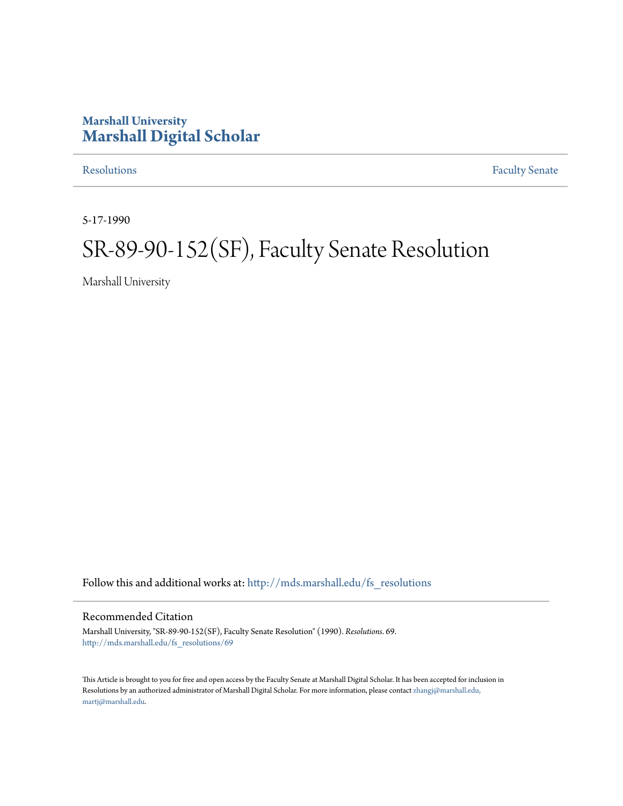## **Marshall University [Marshall Digital Scholar](http://mds.marshall.edu?utm_source=mds.marshall.edu%2Ffs_resolutions%2F69&utm_medium=PDF&utm_campaign=PDFCoverPages)**

[Resolutions](http://mds.marshall.edu/fs_resolutions?utm_source=mds.marshall.edu%2Ffs_resolutions%2F69&utm_medium=PDF&utm_campaign=PDFCoverPages) [Faculty Senate](http://mds.marshall.edu/fs?utm_source=mds.marshall.edu%2Ffs_resolutions%2F69&utm_medium=PDF&utm_campaign=PDFCoverPages)

5-17-1990

# SR-89-90-152(SF), Faculty Senate Resolution

Marshall University

Follow this and additional works at: [http://mds.marshall.edu/fs\\_resolutions](http://mds.marshall.edu/fs_resolutions?utm_source=mds.marshall.edu%2Ffs_resolutions%2F69&utm_medium=PDF&utm_campaign=PDFCoverPages)

#### Recommended Citation

Marshall University, "SR-89-90-152(SF), Faculty Senate Resolution" (1990). *Resolutions*. 69. [http://mds.marshall.edu/fs\\_resolutions/69](http://mds.marshall.edu/fs_resolutions/69?utm_source=mds.marshall.edu%2Ffs_resolutions%2F69&utm_medium=PDF&utm_campaign=PDFCoverPages)

This Article is brought to you for free and open access by the Faculty Senate at Marshall Digital Scholar. It has been accepted for inclusion in Resolutions by an authorized administrator of Marshall Digital Scholar. For more information, please contact [zhangj@marshall.edu,](mailto:zhangj@marshall.edu,%20martj@marshall.edu) [martj@marshall.edu](mailto:zhangj@marshall.edu,%20martj@marshall.edu).